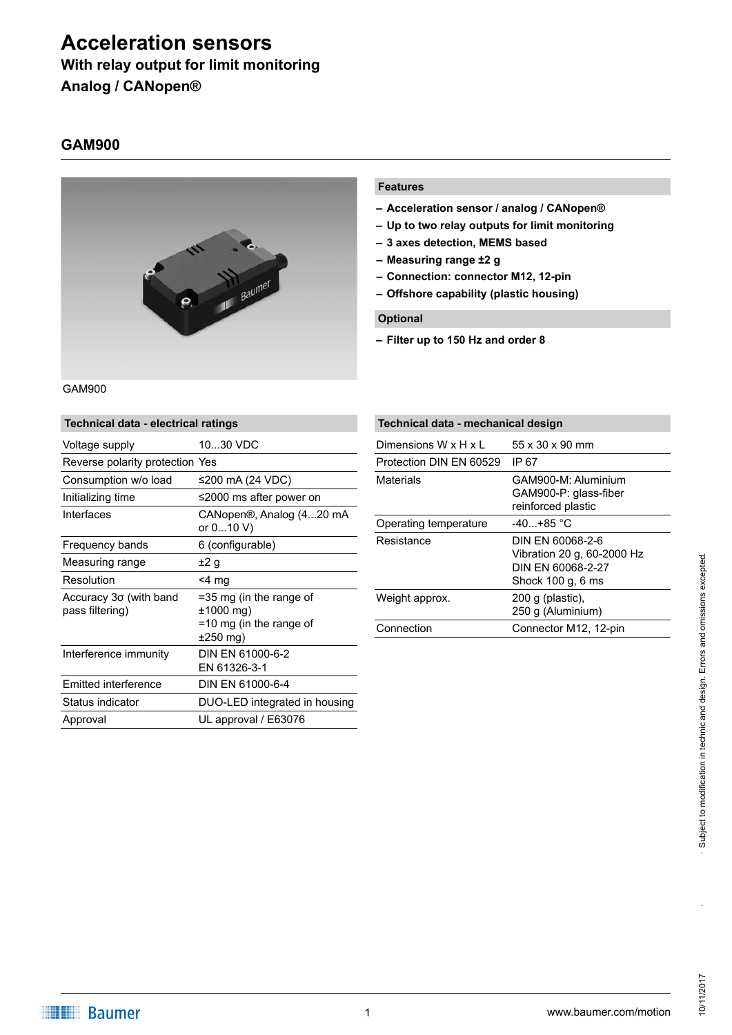# **Acceleration sensors With relay output for limit monitoring**

**Analog / CANopen®**

## **GAM900**



GAM900

| Technical data - electrical ratings       |                                                                               |  |  |  |  |
|-------------------------------------------|-------------------------------------------------------------------------------|--|--|--|--|
| Voltage supply                            | 1030 VDC                                                                      |  |  |  |  |
| Reverse polarity protection Yes           |                                                                               |  |  |  |  |
| Consumption w/o load                      | ≤200 mA (24 VDC)                                                              |  |  |  |  |
| Initializing time                         | ≤2000 ms after power on                                                       |  |  |  |  |
| Interfaces                                | CANopen®, Analog (420 mA<br>or 010 V)                                         |  |  |  |  |
| Frequency bands                           | 6 (configurable)                                                              |  |  |  |  |
| Measuring range                           | ±2 g                                                                          |  |  |  |  |
| Resolution                                | $<$ 4 mg                                                                      |  |  |  |  |
| Accuracy 3σ (with band<br>pass filtering) | =35 mg (in the range of<br>$±1000$ mg)<br>=10 mg (in the range of<br>±250 mg) |  |  |  |  |
| Interference immunity                     | DIN EN 61000-6-2<br>EN 61326-3-1                                              |  |  |  |  |
| Emitted interference                      | DIN EN 61000-6-4                                                              |  |  |  |  |
| Status indicator                          | DUO-LED integrated in housing                                                 |  |  |  |  |
| Approval                                  | UL approval / E63076                                                          |  |  |  |  |

#### **Features**

- **– Acceleration sensor / analog / CANopen®**
- **– Up to two relay outputs for limit monitoring**
- **– 3 axes detection, MEMS based**
- **– Measuring range ±2 g**
- **– Connection: connector M12, 12-pin**
- **– Offshore capability (plastic housing)**

#### **Optional**

**– Filter up to 150 Hz and order 8**

| Technical data - mechanical design |                                                                                          |  |  |  |  |
|------------------------------------|------------------------------------------------------------------------------------------|--|--|--|--|
| Dimensions W x H x L               | 55 x 30 x 90 mm                                                                          |  |  |  |  |
| Protection DIN EN 60529            | IP 67                                                                                    |  |  |  |  |
| <b>Materials</b>                   | GAM900-M: Aluminium<br>GAM900-P: glass-fiber<br>reinforced plastic                       |  |  |  |  |
| Operating temperature              | $-40+85$ °C                                                                              |  |  |  |  |
| Resistance                         | DIN EN 60068-2-6<br>Vibration 20 g, 60-2000 Hz<br>DIN EN 60068-2-27<br>Shock 100 g, 6 ms |  |  |  |  |
| Weight approx.                     | $200$ g (plastic),<br>250 g (Aluminium)                                                  |  |  |  |  |
| Connection                         | Connector M12, 12-pin                                                                    |  |  |  |  |

10/11/2017

10/11/2017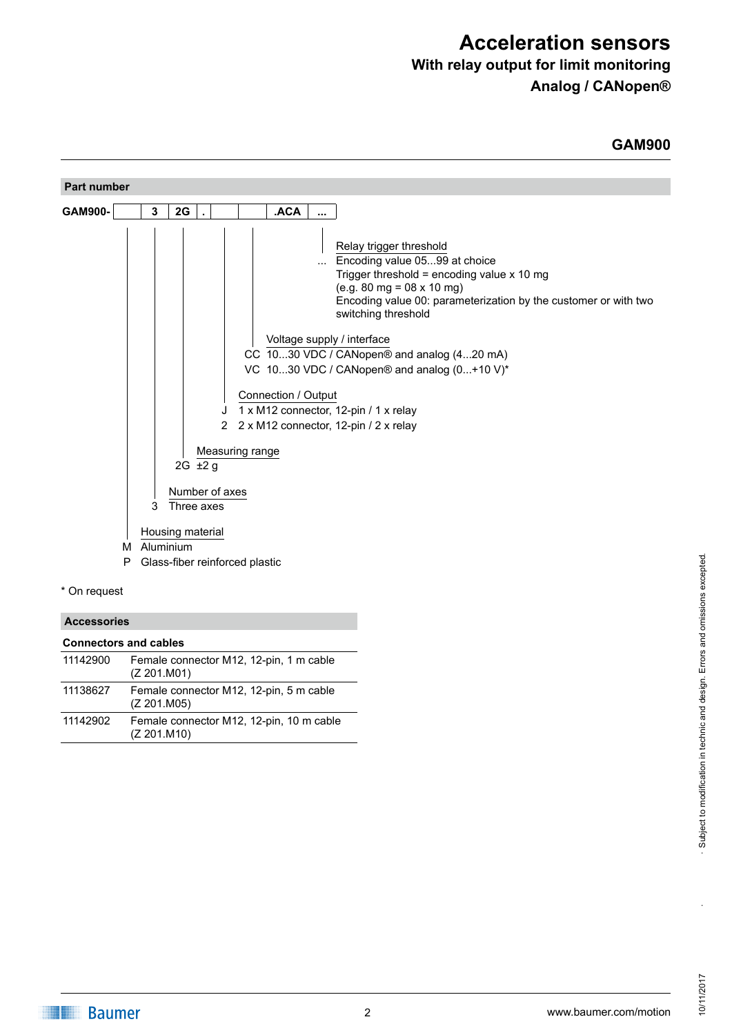# **With relay output for limit monitoring**

**Analog / CANopen®**

## **GAM900**

| Part number                                                                                                                                                                                                                                                                                                                                                                                                                                                                                                   |
|---------------------------------------------------------------------------------------------------------------------------------------------------------------------------------------------------------------------------------------------------------------------------------------------------------------------------------------------------------------------------------------------------------------------------------------------------------------------------------------------------------------|
| <b>ACA</b><br>GAM900-<br>2G<br>3<br>$\mathbf{r}$<br>                                                                                                                                                                                                                                                                                                                                                                                                                                                          |
| Relay trigger threshold<br>Encoding value 0599 at choice<br>Trigger threshold = encoding value $x$ 10 mg<br>$(e.g. 80 mg = 08 \times 10 mg)$<br>Encoding value 00: parameterization by the customer or with two<br>switching threshold<br>Voltage supply / interface<br>CC 1030 VDC / CANopen® and analog (420 mA)<br>VC 1030 VDC / CANopen® and analog (0+10 V)*<br>Connection / Output<br>1 x M12 connector, 12-pin / 1 x relay<br>2 x M12 connector, 12-pin / 2 x relay<br>2<br>Measuring range<br>2G ±2 g |
| Number of axes<br>3<br>Three axes<br>Housing material<br>Aluminium<br>М                                                                                                                                                                                                                                                                                                                                                                                                                                       |
| Glass-fiber reinforced plastic<br>Ρ                                                                                                                                                                                                                                                                                                                                                                                                                                                                           |

\* On request

#### **Accessories**

| <b>Connectors and cables</b> |                                                         |  |  |  |
|------------------------------|---------------------------------------------------------|--|--|--|
| 11142900                     | Female connector M12, 12-pin, 1 m cable<br>(Z 201.M01)  |  |  |  |
| 11138627                     | Female connector M12, 12-pin, 5 m cable<br>(Z 201.M05)  |  |  |  |
| 11142902                     | Female connector M12, 12-pin, 10 m cable<br>(Z 201.M10) |  |  |  |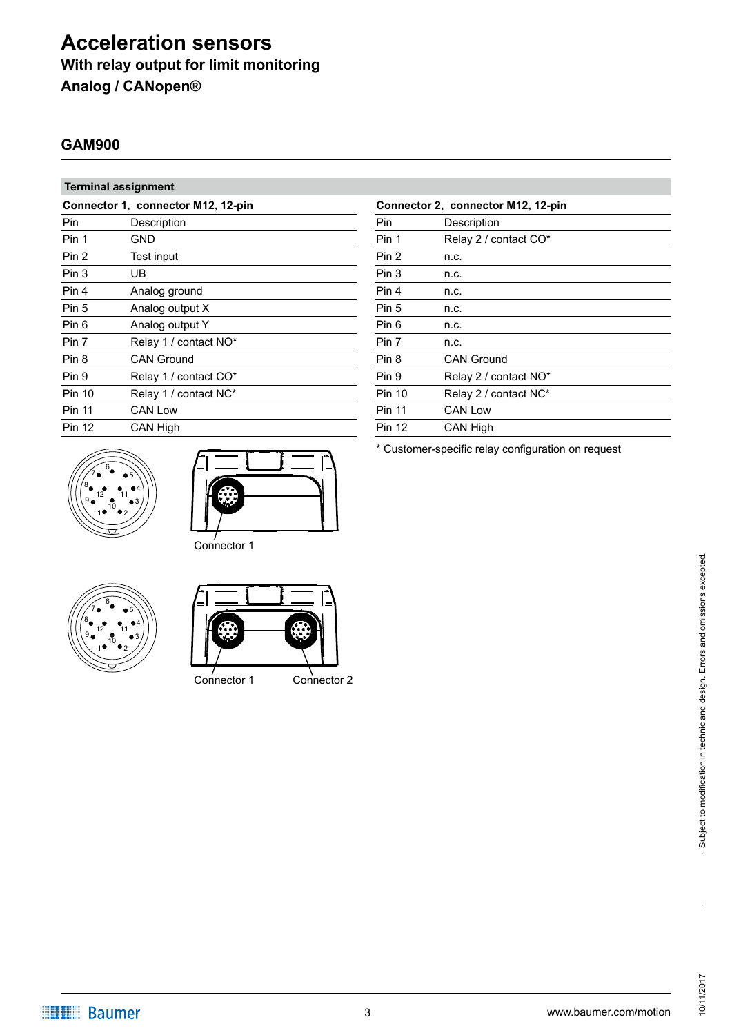# **Acceleration sensors With relay output for limit monitoring Analog / CANopen®**

# **GAM900**

### **Terminal assignment**

| Connector 1, connector M12, 12-pin |                       |  |  |
|------------------------------------|-----------------------|--|--|
| Pin                                | Description           |  |  |
| Pin 1                              | GND                   |  |  |
| Pin 2                              | Test input            |  |  |
| Pin 3                              | UB                    |  |  |
| Pin 4                              | Analog ground         |  |  |
| Pin 5                              | Analog output X       |  |  |
| Pin 6                              | Analog output Y       |  |  |
| Pin 7                              | Relay 1 / contact NO* |  |  |
| Pin 8                              | <b>CAN Ground</b>     |  |  |
| Pin 9                              | Relay 1 / contact CO* |  |  |
| <b>Pin 10</b>                      | Relay 1 / contact NC* |  |  |
| <b>Pin 11</b>                      | <b>CAN Low</b>        |  |  |
| <b>Pin 12</b>                      | <b>CAN High</b>       |  |  |





Connector 1





Connector 1 Connector 2

| Connector 2, connector M12, 12-pin |                       |  |  |  |  |
|------------------------------------|-----------------------|--|--|--|--|
| Pin                                | Description           |  |  |  |  |
| Pin 1                              | Relay 2 / contact CO* |  |  |  |  |
| Pin 2                              | n.c.                  |  |  |  |  |
| Pin 3                              | n.c.                  |  |  |  |  |
| Pin 4                              | n.c.                  |  |  |  |  |
| Pin 5                              | n.c.                  |  |  |  |  |
| Pin 6                              | n.c.                  |  |  |  |  |
| Pin 7                              | n.c.                  |  |  |  |  |
| Pin 8                              | <b>CAN Ground</b>     |  |  |  |  |
| Pin 9                              | Relay 2 / contact NO* |  |  |  |  |
| <b>Pin 10</b>                      | Relay 2 / contact NC* |  |  |  |  |
| <b>Pin 11</b>                      | <b>CAN Low</b>        |  |  |  |  |
| <b>Pin 12</b>                      | CAN High              |  |  |  |  |

\* Customer-specific relay configuration on request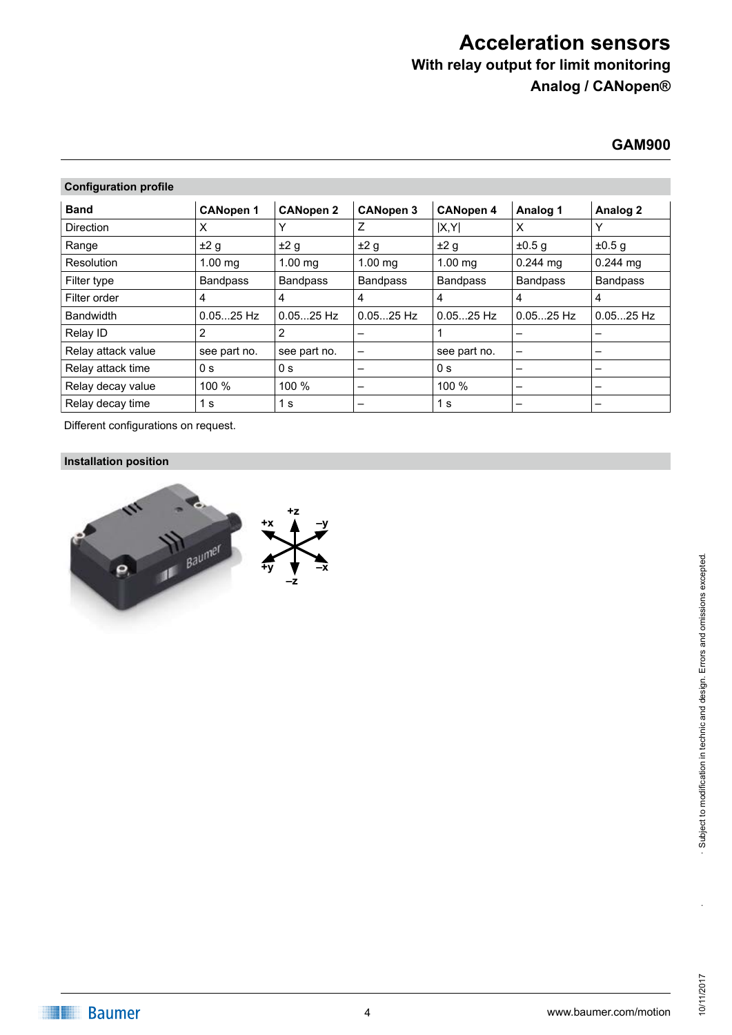# **With relay output for limit monitoring**

**Analog / CANopen®**

## **GAM900**

### **Configuration profile**

| <b>Band</b>        | <b>CANopen 1</b>  | <b>CANopen 2</b>  | <b>CANopen 3</b>         | <b>CANopen 4</b> | Analog 1        | Analog 2        |
|--------------------|-------------------|-------------------|--------------------------|------------------|-----------------|-----------------|
| <b>Direction</b>   | X                 |                   | Ζ                        | X,Y              | X               | Y               |
| Range              | ±2 g              | ±2 g              | ±2 g                     | ±2 g             | $\pm 0.5$ g     | $\pm 0.5$ g     |
| Resolution         | $1.00 \text{ ma}$ | $1.00 \text{ mg}$ | $1.00 \text{ ma}$        | $1.00$ mg        | $0.244$ mg      | $0.244$ mg      |
| Filter type        | <b>Bandpass</b>   | <b>Bandpass</b>   | <b>Bandpass</b>          | <b>Bandpass</b>  | <b>Bandpass</b> | <b>Bandpass</b> |
| Filter order       | 4                 | 4                 | 4                        | 4                | 4               | 4               |
| <b>Bandwidth</b>   | $0.0525$ Hz       | $0.0525$ Hz       | $0.0525$ Hz              | $0.0525$ Hz      | $0.0525$ Hz     | $0.0525$ Hz     |
| Relay ID           | 2                 | 2                 |                          |                  |                 |                 |
| Relay attack value | see part no.      | see part no.      | $\qquad \qquad$          | see part no.     | -               | -               |
| Relay attack time  | 0 <sub>s</sub>    | 0 s               | -                        | 0 <sub>s</sub>   | -               |                 |
| Relay decay value  | 100 %             | 100 %             | $\overline{\phantom{m}}$ | 100 %            | -               |                 |
| Relay decay time   | 1 s               | 1 s               | -                        | 1 <sub>s</sub>   | -               |                 |

Different configurations on request.

### **Installation position**



·<br>.<br>.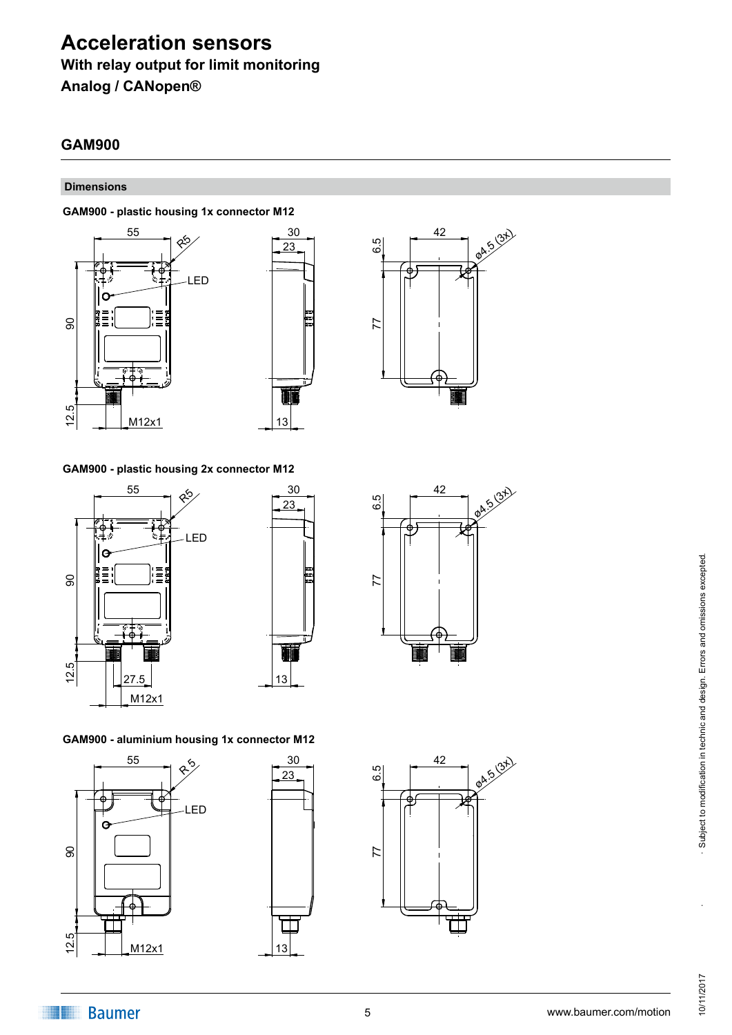**With relay output for limit monitoring**

**Analog / CANopen®**

# **GAM900**

#### **Dimensions**

#### **GAM900 - plastic housing 1x connector M12**







#### **GAM900 - plastic housing 2x connector M12**







#### **GAM900 - aluminium housing 1x connector M12**